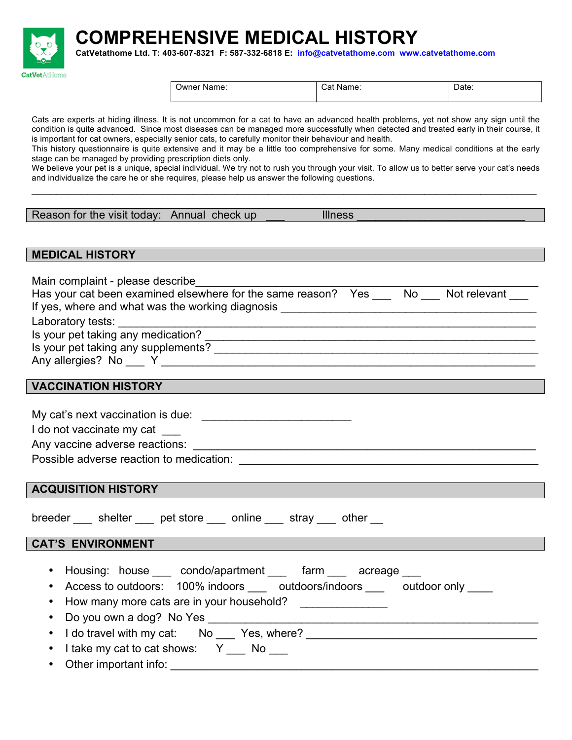**COMPREHENSIVE MEDICAL HISTORY CatVetathome Ltd. T: 403-607-8321 F: 587-332-6818 E: info@catvetathome.com www.catvetathome.com**



Cats are experts at hiding illness. It is not uncommon for a cat to have an advanced health problems, yet not show any sign until the condition is quite advanced. Since most diseases can be managed more successfully when detected and treated early in their course, it is important for cat owners, especially senior cats, to carefully monitor their behaviour and health.

This history questionnaire is quite extensive and it may be a little too comprehensive for some. Many medical conditions at the early stage can be managed by providing prescription diets only.

We believe your pet is a unique, special individual. We try not to rush you through your visit. To allow us to better serve your cat's needs and individualize the care he or she requires, please help us answer the following questions. \_\_\_\_\_\_\_\_\_\_\_\_\_\_\_\_\_\_\_\_\_\_\_\_\_\_\_\_\_\_\_\_\_\_\_\_\_\_\_\_\_\_\_\_\_\_\_\_\_\_\_\_\_\_\_\_\_\_\_\_\_\_\_\_\_\_\_\_\_\_\_\_\_\_\_\_\_\_\_\_\_

| Reason for the visit today: Annual check up |
|---------------------------------------------|
|---------------------------------------------|

 $\mathsf p$   $\hbox{\sf II}$ llness  $\hbox{\sf I}$ 

## **MEDICAL HISTORY**

**CatVetAtHome** 

| Main complaint - please describe                                                                                                                                                                                                     |  |  |
|--------------------------------------------------------------------------------------------------------------------------------------------------------------------------------------------------------------------------------------|--|--|
| Has your cat been examined elsewhere for the same reason? Yes _____ No ____ Not relevant ____                                                                                                                                        |  |  |
|                                                                                                                                                                                                                                      |  |  |
|                                                                                                                                                                                                                                      |  |  |
|                                                                                                                                                                                                                                      |  |  |
|                                                                                                                                                                                                                                      |  |  |
|                                                                                                                                                                                                                                      |  |  |
|                                                                                                                                                                                                                                      |  |  |
| VACCINATION HISTORY <b>Andrew Contract Contract Contract Contract Contract Contract Contract Contract Contract Contract Contract Contract Contract Contract Contract Contract Contract Contract Contract Contract Contract Contr</b> |  |  |
|                                                                                                                                                                                                                                      |  |  |
|                                                                                                                                                                                                                                      |  |  |
| I do not vaccinate my cat                                                                                                                                                                                                            |  |  |
|                                                                                                                                                                                                                                      |  |  |
|                                                                                                                                                                                                                                      |  |  |
|                                                                                                                                                                                                                                      |  |  |
| <b>ACQUISITION HISTORY</b>                                                                                                                                                                                                           |  |  |
|                                                                                                                                                                                                                                      |  |  |
| breeder _____ shelter _____ pet store _____ online _____ stray ____ other ___                                                                                                                                                        |  |  |
|                                                                                                                                                                                                                                      |  |  |
| CAT'S ENVIRONMENT <b>CAT'S ENVIRONMENT</b>                                                                                                                                                                                           |  |  |
|                                                                                                                                                                                                                                      |  |  |
| • Housing: house ____ condo/apartment ____ farm ____ acreage ___                                                                                                                                                                     |  |  |
| • Access to outdoors: 100% indoors ____ outdoors/indoors ____ outdoor only ____                                                                                                                                                      |  |  |
| • How many more cats are in your household? _______________                                                                                                                                                                          |  |  |
| • Do you own a dog? No Yes _______________                                                                                                                                                                                           |  |  |
| • I do travel with my cat: No ___ Yes, where? _____                                                                                                                                                                                  |  |  |

 $\bullet$  I take my cat to cat shows:  $Y \_$  No  $\_$ 

Other important info: **with the set of the set of the set of the set of the set of the set of the set of the set of the set of the set of the set of the set of the set of the set of the set of the set of the set of the set**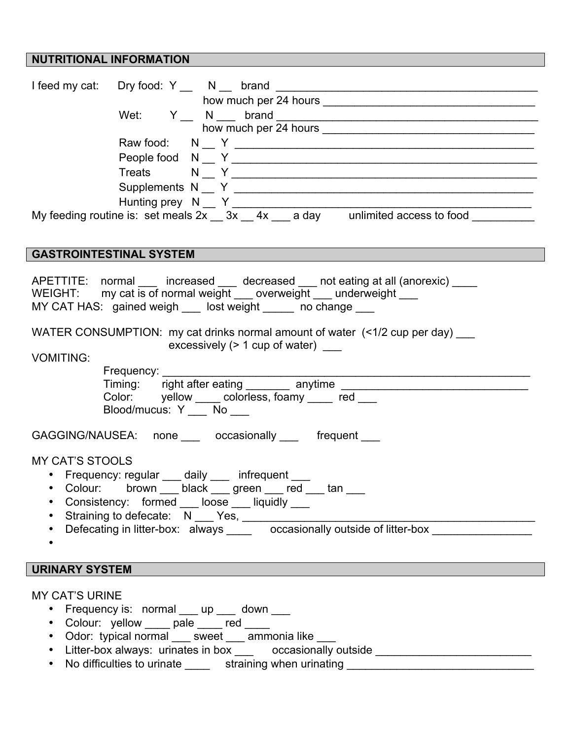## **NUTRITIONAL INFORMATION**

|                                                                                               | Treats $N N N N$                                                                                                                                                                                                       |  |
|-----------------------------------------------------------------------------------------------|------------------------------------------------------------------------------------------------------------------------------------------------------------------------------------------------------------------------|--|
|                                                                                               |                                                                                                                                                                                                                        |  |
|                                                                                               |                                                                                                                                                                                                                        |  |
|                                                                                               |                                                                                                                                                                                                                        |  |
|                                                                                               |                                                                                                                                                                                                                        |  |
|                                                                                               | <b>GASTROINTESTINAL SYSTEM</b>                                                                                                                                                                                         |  |
|                                                                                               | APETTITE: normal ___ increased ___ decreased __ not eating at all (anorexic) ___<br>WEIGHT: my cat is of normal weight __ overweight __ underweight __<br>MY CAT HAS: gained weigh ___ lost weight _____ no change ___ |  |
|                                                                                               | WATER CONSUMPTION: my cat drinks normal amount of water (<1/2 cup per day) ___                                                                                                                                         |  |
| <b>VOMITING:</b>                                                                              | excessively $($ > 1 cup of water)                                                                                                                                                                                      |  |
|                                                                                               | Frequency: _____                                                                                                                                                                                                       |  |
|                                                                                               |                                                                                                                                                                                                                        |  |
|                                                                                               | Color: yellow _____ colorless, foamy _____ red ___                                                                                                                                                                     |  |
|                                                                                               | Blood/mucus: Y ___ No ___                                                                                                                                                                                              |  |
|                                                                                               | GAGGING/NAUSEA: none ___ occasionally ___ frequent ___                                                                                                                                                                 |  |
| <b>MY CAT'S STOOLS</b>                                                                        |                                                                                                                                                                                                                        |  |
|                                                                                               | • Frequency: regular ___ daily ___ infrequent ___                                                                                                                                                                      |  |
|                                                                                               | • Colour: brown ___ black ___ green ___ red ___ tan _                                                                                                                                                                  |  |
| ٠                                                                                             | Consistency: formed ___ loose ___ liquidly ___                                                                                                                                                                         |  |
|                                                                                               | Straining to defecate: N ___ Yes, ___________                                                                                                                                                                          |  |
|                                                                                               | Defecating in litter-box: always ______ occasionally outside of litter-box                                                                                                                                             |  |
|                                                                                               |                                                                                                                                                                                                                        |  |
| <b>URINARY SYSTEM</b>                                                                         |                                                                                                                                                                                                                        |  |
|                                                                                               |                                                                                                                                                                                                                        |  |
| <b>MY CAT'S URINE</b>                                                                         |                                                                                                                                                                                                                        |  |
| • Frequency is: normal ___ up ___ down ___                                                    |                                                                                                                                                                                                                        |  |
| • Colour: yellow ____ pale ____ red ____<br>• Odor: typical normal ___ sweet ___ ammonia like |                                                                                                                                                                                                                        |  |
|                                                                                               |                                                                                                                                                                                                                        |  |

- Litter-box always: urinates in box \_\_\_\_ occasionally outside \_\_\_\_\_\_\_\_\_\_\_\_\_\_\_\_\_
- No difficulties to urinate \_\_\_\_\_ straining when urinating \_\_\_\_\_\_\_\_\_\_\_\_\_\_\_\_\_\_\_\_\_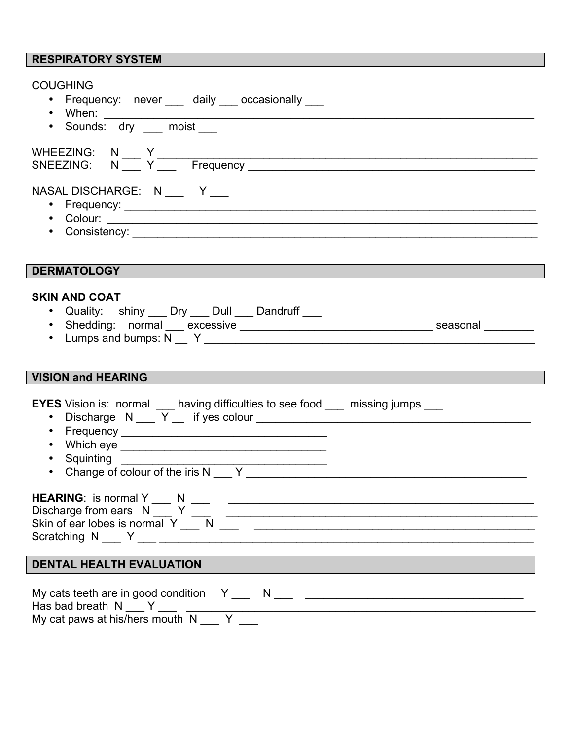## **RESPIRATORY SYSTEM**

| <b>COUGHING</b><br>• Frequency: never ___ daily ___ occasionally ___                                                                                                                                                                                                                                                                                                                                                                           |
|------------------------------------------------------------------------------------------------------------------------------------------------------------------------------------------------------------------------------------------------------------------------------------------------------------------------------------------------------------------------------------------------------------------------------------------------|
|                                                                                                                                                                                                                                                                                                                                                                                                                                                |
| NASAL DISCHARGE: N ___ Y __<br>• Frequency: <u>Contract Communications</u> Contract Communications Communications Communications Communications Communications Communications Communications Communications Communications Communications Communications Communica                                                                                                                                                                             |
| <b>DERMATOLOGY</b>                                                                                                                                                                                                                                                                                                                                                                                                                             |
| <b>SKIN AND COAT</b><br>• Quality: shiny ___ Dry ___ Dull ___ Dandruff ___                                                                                                                                                                                                                                                                                                                                                                     |
| <b>VISION and HEARING</b>                                                                                                                                                                                                                                                                                                                                                                                                                      |
| <b>EYES</b> Vision is: normal having difficulties to see food hissing jumps http://<br>$\bullet$                                                                                                                                                                                                                                                                                                                                               |
| HEARING: is normal Y ___ N<br><b>HEARING:</b> is normal $Y \_ N \_ N \_ N$<br>Skin of ear lobes is normal $Y \_ N \_ N \_$                                                                                                                                                                                                                                                                                                                     |
| <b>DENTAL HEALTH EVALUATION</b>                                                                                                                                                                                                                                                                                                                                                                                                                |
| My cats teeth are in good condition $Y_1, Y_2, Y_3, Y_4, Y_5, Y_6, Y_7, Y_8, Y_9, Y_9, Y_{10}$<br>Has bad breath $N_1 N_2 N_3 N_4 N_5 N_6 N_7 N_8 N_9 N_1 N_1 N_2 N_2 N_3 N_4 N_1 N_2 N_1 N_2 N_3 N_4 N_1 N_2 N_1 N_2 N_1 N_2 N_1 N_2 N_1 N_2 N_2 N_1 N_2 N_1 N_2 N_1 N_2 N_1 N_2 N_1 N_2 N_1 N_2 N_2 N_1 N_2 N_1 N_2 N_2 N_1 N_2 N_1 N_2 N_2 N_1 N_2 N_1 N_2 N_1 N_2 N_2 N_1 N_2 N_1 N_2 N_2 N_1 N$<br>My cat paws at his/hers mouth N __ Y _ |